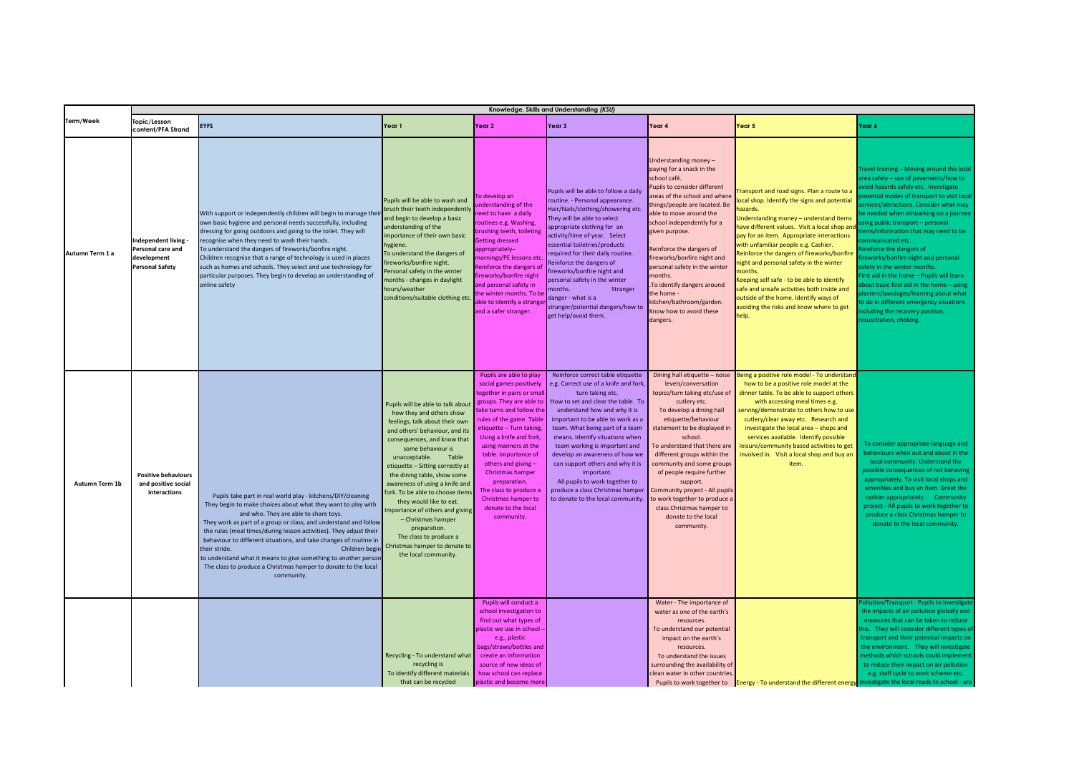|                 | Knowledge, Skills and Understanding (KSU)                                        |                                                                                                                                                                                                                                                                                                                                                                                                                                                                                                                                                                           |                                                                                                                                                                                                                                                                                                                                                                                                                                                                                                                                               |                                                                                                                                                                                                                                                                                                                                                                                                                             |                                                                                                                                                                                                                                                                                                                                                                                                                                                                                                                 |                                                                                                                                                                                                                                                                                                                                                                                                                                                                            |                                                                                                                                                                                                                                                                                                                                                                                                                                                                                                                                                                                     |                                                                                                                                                                                                                                                                                                                                                                                                                                                                                                                                                                                                                                                                                                  |  |  |
|-----------------|----------------------------------------------------------------------------------|---------------------------------------------------------------------------------------------------------------------------------------------------------------------------------------------------------------------------------------------------------------------------------------------------------------------------------------------------------------------------------------------------------------------------------------------------------------------------------------------------------------------------------------------------------------------------|-----------------------------------------------------------------------------------------------------------------------------------------------------------------------------------------------------------------------------------------------------------------------------------------------------------------------------------------------------------------------------------------------------------------------------------------------------------------------------------------------------------------------------------------------|-----------------------------------------------------------------------------------------------------------------------------------------------------------------------------------------------------------------------------------------------------------------------------------------------------------------------------------------------------------------------------------------------------------------------------|-----------------------------------------------------------------------------------------------------------------------------------------------------------------------------------------------------------------------------------------------------------------------------------------------------------------------------------------------------------------------------------------------------------------------------------------------------------------------------------------------------------------|----------------------------------------------------------------------------------------------------------------------------------------------------------------------------------------------------------------------------------------------------------------------------------------------------------------------------------------------------------------------------------------------------------------------------------------------------------------------------|-------------------------------------------------------------------------------------------------------------------------------------------------------------------------------------------------------------------------------------------------------------------------------------------------------------------------------------------------------------------------------------------------------------------------------------------------------------------------------------------------------------------------------------------------------------------------------------|--------------------------------------------------------------------------------------------------------------------------------------------------------------------------------------------------------------------------------------------------------------------------------------------------------------------------------------------------------------------------------------------------------------------------------------------------------------------------------------------------------------------------------------------------------------------------------------------------------------------------------------------------------------------------------------------------|--|--|
| Term/Week       | Topic/Lesson<br>content/PFA Strand                                               | <b>EYFS</b>                                                                                                                                                                                                                                                                                                                                                                                                                                                                                                                                                               | Year 1                                                                                                                                                                                                                                                                                                                                                                                                                                                                                                                                        | Year 2                                                                                                                                                                                                                                                                                                                                                                                                                      | Year 3                                                                                                                                                                                                                                                                                                                                                                                                                                                                                                          | Year 4                                                                                                                                                                                                                                                                                                                                                                                                                                                                     | Year 5                                                                                                                                                                                                                                                                                                                                                                                                                                                                                                                                                                              | Year 6                                                                                                                                                                                                                                                                                                                                                                                                                                                                                                                                                                                                                                                                                           |  |  |
| Autumn Term 1 a | ndependent living -<br>ersonal care and<br>development<br><b>Personal Safety</b> | With support or independently children will begin to manage thei<br>own basic hygiene and personal needs successfully, including<br>dressing for going outdoors and going to the toilet. They will<br>recognise when they need to wash their hands.<br>To understand the dangers of fireworks/bonfire night.<br>Children recognise that a range of technology is used in places<br>such as homes and schools. They select and use technology for<br>particular purposes. They begin to develop an understanding of<br>online safety                                       | Pupils will be able to wash and<br>brush their teeth independentl<br>and begin to develop a basic<br>understanding of the<br>importance of their own basic<br>hygiene.<br>To understand the dangers of<br>fireworks/bonfire night.<br>Personal safety in the winter<br>months - changes in daylight<br>hours/weather<br>conditions/suitable clothing eto                                                                                                                                                                                      | Fo develop an<br>understanding of the<br>heed to have a daily<br>routines e.g. Washing,<br>brushing teeth, toileting<br>Getting dressed<br>appropriately-<br>mornings/PE lessons etc<br>Reinforce the dangers of<br>fireworks/bonfire night<br>and personal safety in<br>the winter months. To be<br>able to identify a strange<br>and a safer stranger.                                                                    | Pupils will be able to follow a daily<br>routine. - Personal appearance.<br>Hair/Nails/clothing/showering etc.<br>They will be able to select<br>appropriate clothing for an<br>activity/time of year. Select<br>essential toiletries/products<br>required for their daily routine.<br>Reinforce the dangers of<br>fireworks/bonfire night and<br>ersonal safety in the winter<br>nonths.<br>Stranger<br>danger - what is a<br>stranger/potential dangers/how to<br>get help/avoid them.                        | Understanding money -<br>paying for a snack in the<br>school café.<br>upils to consider different<br>reas of the school and where<br>hings/people are located. Be<br>able to move around the<br>school independently for a<br>given purpose.<br>Reinforce the dangers of<br>fireworks/bonfire night and<br>personal safety in the winter<br>months.<br>To identify dangers around<br>the home -<br>kitchen/bathroom/garden.<br>Know how to avoid these<br>dangers.         | ransport and road signs. Plan a route to a<br>ocal shop. Identify the signs and potential<br><b>azards</b><br>Inderstanding money - understand items<br>ave different values. Visit a local shop and<br>pay for an item. Appropriate interactions<br>vith unfamiliar people e.g. Cashier.<br>teinforce the dangers of fireworks/bonfire<br>ight and personal safety in the winter<br>nonths.<br>eeping self safe - to be able to identify.<br>afe and unsafe activities both inside and<br>outside of the home. Identify ways of<br>voiding the risks and know where to get<br>elp. | Travel training - Moving around the local<br>area safely – use of pavements/how to<br>void hazards safely etc. Investigate<br>otential modes of transport to visit local<br>ervices/attractions. Consider what may<br>e needed when embarking on a journey<br>sing public transport - personal<br>ems/information that may need to be<br>mmunicated etc.<br>einforce the dangers of<br>ireworks/bonfire night and personal<br>afety in the winter months.<br>irst aid in the home - Pupils will learn<br>bout basic first aid in the home - using<br>lasters/bandages/learning about what<br>o do in different emergency situations<br>icluding the recovery position,<br>esuscitation, choking. |  |  |
| Autumn Term 1b  | <b>Positive behaviours</b><br>and positive social<br>interactions                | Pupils take part in real world play - kitchens/DIY/cleaning<br>They begin to make choices about what they want to play with<br>and who. They are able to share toys.<br>They work as part of a group or class, and understand and follow<br>the rules (meal times/during lesson activities). They adjust their<br>behaviour to different situations, and take changes of routine in<br>their stride.<br>Children begin<br>to understand what it means to give something to another persor<br>The class to produce a Christmas hamper to donate to the local<br>community. | Pupils will be able to talk abou<br>how they and others show<br>feelings, talk about their own<br>and others' behaviour, and its<br>consequences, and know that<br>some behaviour is<br>unacceptable.<br>Table<br>etiquette - Sitting correctly at<br>the dining table, show some<br>awareness of using a knife and<br>fork. To be able to choose items<br>they would like to eat.<br>mportance of others and giving<br>- Christmas hamper<br>preparation.<br>The class to produce a<br>Christmas hamper to donate to<br>the local community. | Pupils are able to play<br>social games positively<br>together in pairs or sma<br>groups. They are able to<br>take turns and follow the<br>rules of the game. Table<br>etiquette – Turn taking,<br>Using a knife and fork,<br>using manners at the<br>table. Importance of<br>others and giving -<br>Christmas hamper<br>preparation.<br>The class to produce a<br>Christmas hamper to<br>donate to the local<br>community. | Reinforce correct table etiquette<br>e.g. Correct use of a knife and fork,<br>turn taking etc.<br>How to set and clear the table. To<br>understand how and why it is<br>important to be able to work as a<br>team. What being part of a team<br>means. Identify situations when<br>team working is important and<br>develop an awareness of how we<br>can support others and why it is<br>important.<br>All pupils to work together to<br>produce a class Christmas hamper<br>to donate to the local community. | Dining hall etiquette - noise<br>levels/conversation<br>topics/turn taking etc/use of<br>cutlery etc.<br>To develop a dining hall<br>etiquette/behaviour<br>statement to be displayed in<br>school.<br>To understand that there are<br>different groups within the<br>community and some groups<br>of people require further<br>support.<br>Community project - All pupil:<br>o work together to produce<br>class Christmas hamper to<br>donate to the local<br>community. | eing a positive role model - To understan<br>how to be a positive role model at the<br>dinner table. To be able to support others<br>with accessing meal times e.g.<br>serving/demonstrate to others how to use<br>cutlery/clear away etc. Research and<br>investigate the local area - shops and<br>services available. Identify possible<br>leisure/community based activities to get<br>involved in. Visit a local shop and buy an<br>item.                                                                                                                                      | To consider appropriate language and<br>behaviours when out and about in the<br>local community. Understand the<br>possible consequences of not behaving<br>appropriately. To visit local shops and<br>amenities and buy an item. Greet the<br>cashier appropriately. Community<br>project - All pupils to work together to<br>produce a class Christmas hamper to<br>donate to the local community.                                                                                                                                                                                                                                                                                             |  |  |
|                 |                                                                                  |                                                                                                                                                                                                                                                                                                                                                                                                                                                                                                                                                                           | Recycling - To understand what<br>recycling is<br>To identify different materials<br>that can be recycled                                                                                                                                                                                                                                                                                                                                                                                                                                     | Pupils will conduct a<br>school investigation to<br>find out what types of<br>plastic we use in school<br>e.g., plastic<br>bags/straws/bottles and<br>create an information<br>source of new ideas of<br>how school can replace<br>plastic and become more                                                                                                                                                                  |                                                                                                                                                                                                                                                                                                                                                                                                                                                                                                                 | Water - The importance of<br>water as one of the earth's<br>resources.<br>To understand our potential<br>impact on the earth's<br>resources.<br>To understand the issues<br>surrounding the availability of<br>clean water in other countries<br>Pupils to work together to                                                                                                                                                                                                | Energy - To understand the different energy Investigate the local roads to school - are                                                                                                                                                                                                                                                                                                                                                                                                                                                                                             | Pollution/Transport - Pupils to investigate<br>the impacts of air pollution globally and<br>measures that can be taken to reduce<br>this. They will consider different types of<br>transport and their potential impacts on<br>the environment. They will investigate<br>nethods which schools could implement<br>to reduce their impact on air pollution<br>e.g. staff cycle to work scheme etc.                                                                                                                                                                                                                                                                                                |  |  |